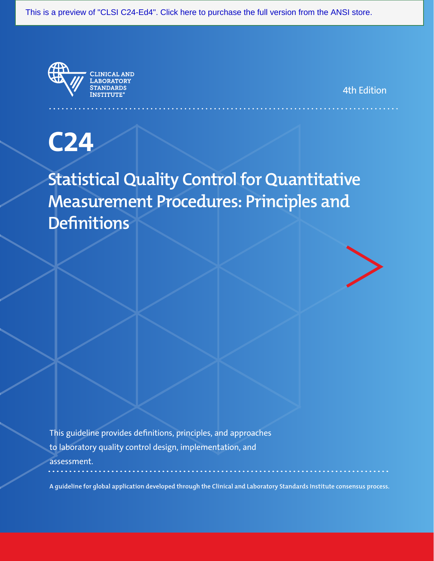[This is a preview of "CLSI C24-Ed4". Click here to purchase the full version from the ANSI store.](https://webstore.ansi.org/Standards/CLSI/CLSIC24Ed4?source=preview)



4th Edition



**Statistical Quality Control for Quantitative Measurement Procedures: Principles and Definitions**

This guideline provides definitions, principles, and approaches to laboratory quality control design, implementation, and assessment.

**A guideline for global application developed through the Clinical and Laboratory Standards Institute consensus process.**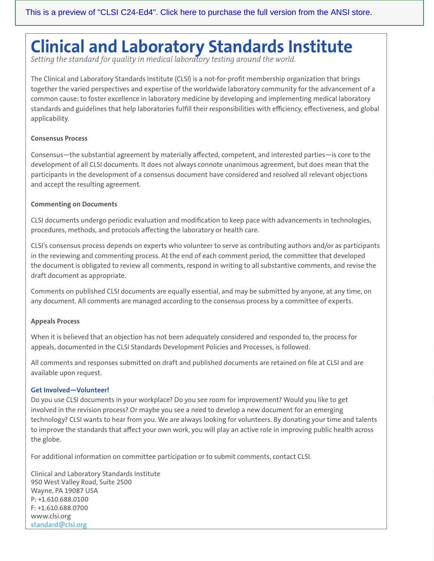# **Clinical and Laboratory Standards Institute**

*Setting the standard for quality in medical laboratory testing around the world.*

The Clinical and Laboratory Standards Institute (CLSI) is a not-for-profit membership organization that brings together the varied perspectives and expertise of the worldwide laboratory community for the advancement of a common cause: to foster excellence in laboratory medicine by developing and implementing medical laboratory standards and guidelines that help laboratories fulfill their responsibilities with efficiency, effectiveness, and global applicability.

#### **Consensus Process**

Consensus—the substantial agreement by materially affected, competent, and interested parties—is core to the development of all CLSI documents. It does not always connote unanimous agreement, but does mean that the participants in the development of a consensus document have considered and resolved all relevant objections and accept the resulting agreement.

#### **Commenting on Documents**

CLSI documents undergo periodic evaluation and modification to keep pace with advancements in technologies, procedures, methods, and protocols affecting the laboratory or health care.

CLSI's consensus process depends on experts who volunteer to serve as contributing authors and/or as participants in the reviewing and commenting process. At the end of each comment period, the committee that developed the document is obligated to review all comments, respond in writing to all substantive comments, and revise the draft document as appropriate.

Comments on published CLSI documents are equally essential, and may be submitted by anyone, at any time, on any document. All comments are managed according to the consensus process by a committee of experts.

#### **Appeals Process**

When it is believed that an objection has not been adequately considered and responded to, the process for appeals, documented in the CLSI Standards Development Policies and Processes, is followed.

All comments and responses submitted on draft and published documents are retained on file at CLSI and are available upon request.

#### **Get Involved—Volunteer!**

Do you use CLSI documents in your workplace? Do you see room for improvement? Would you like to get involved in the revision process? Or maybe you see a need to develop a new document for an emerging technology? CLSI wants to hear from you. We are always looking for volunteers. By donating your time and talents to improve the standards that affect your own work, you will play an active role in improving public health across the globe.

For additional information on committee participation or to submit comments, contact CLSI.

Clinical and Laboratory Standards Institute 950 West Valley Road, Suite 2500 Wayne, PA 19087 USA P: +1.610.688.0100 F: +1.610.688.0700 www.clsi.org standard@clsi.org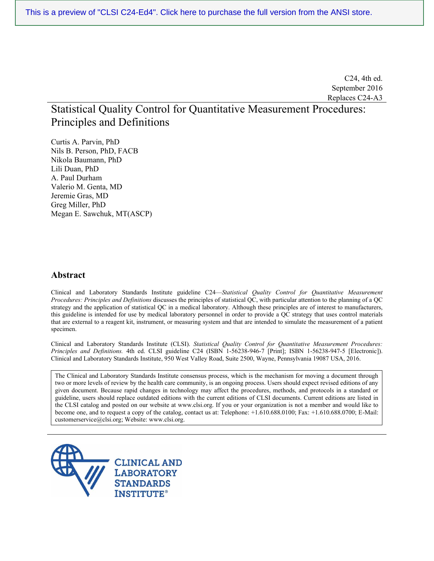C24, 4th ed. September 2016 Replaces C24-A3

# Statistical Quality Control for Quantitative Measurement Procedures: Principles and Definitions

Curtis A. Parvin, PhD Nils B. Person, PhD, FACB Nikola Baumann, PhD Lili Duan, PhD A. Paul Durham Valerio M. Genta, MD Jeremie Gras, MD Greg Miller, PhD Megan E. Sawchuk, MT(ASCP)

#### <span id="page-2-0"></span>**Abstract**

Clinical and Laboratory Standards Institute guideline C24—*Statistical Quality Control for Quantitative Measurement Procedures: Principles and Definitions* discusses the principles of statistical QC, with particular attention to the planning of a QC strategy and the application of statistical QC in a medical laboratory. Although these principles are of interest to manufacturers, this guideline is intended for use by medical laboratory personnel in order to provide a QC strategy that uses control materials that are external to a reagent kit, instrument, or measuring system and that are intended to simulate the measurement of a patient specimen.

Clinical and Laboratory Standards Institute (CLSI). *Statistical Quality Control for Quantitative Measurement Procedures: Principles and Definitions.* 4th ed. CLSI guideline C24 (ISBN 1-56238-946-7 [Print]; ISBN 1-56238-947-5 [Electronic]). Clinical and Laboratory Standards Institute, 950 West Valley Road, Suite 2500, Wayne, Pennsylvania 19087 USA, 2016.

The Clinical and Laboratory Standards Institute consensus process, which is the mechanism for moving a document through two or more levels of review by the health care community, is an ongoing process. Users should expect revised editions of any given document. Because rapid changes in technology may affect the procedures, methods, and protocols in a standard or guideline, users should replace outdated editions with the current editions of CLSI documents. Current editions are listed in the CLSI catalog and posted on our website at www.clsi.org. If you or your organization is not a member and would like to become one, and to request a copy of the catalog, contact us at: Telephone: +1.610.688.0100; Fax: +1.610.688.0700; E-Mail: customerservice@clsi.org; Website: [www.clsi.org.](http://www.clsi.org/)

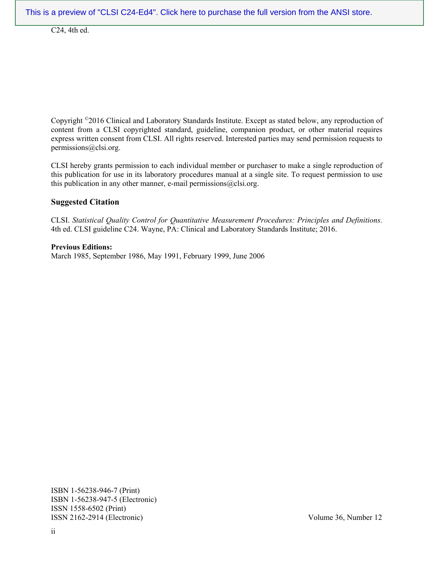Copyright © 2016 Clinical and Laboratory Standards Institute. Except as stated below, any reproduction of content from a CLSI copyrighted standard, guideline, companion product, or other material requires express written consent from CLSI. All rights reserved. Interested parties may send permission requests to [permissions@clsi.org.](mailto:permissions@clsi.org)

CLSI hereby grants permission to each individual member or purchaser to make a single reproduction of this publication for use in its laboratory procedures manual at a single site. To request permission to use this publication in any other manner, e-mail [permissions@clsi.org.](mailto:permissions@clsi.org)

#### **Suggested Citation**

CLSI. *Statistical Quality Control for Quantitative Measurement Procedures: Principles and Definitions.* 4th ed. CLSI guideline C24. Wayne, PA: Clinical and Laboratory Standards Institute; 2016.

#### **Previous Editions:**

March 1985, September 1986, May 1991, February 1999, June 2006

ISBN 1-56238-946-7 (Print) ISBN 1-56238-947-5 (Electronic) ISSN 1558-6502 (Print) ISSN 2162-2914 (Electronic) Volume 36, Number 12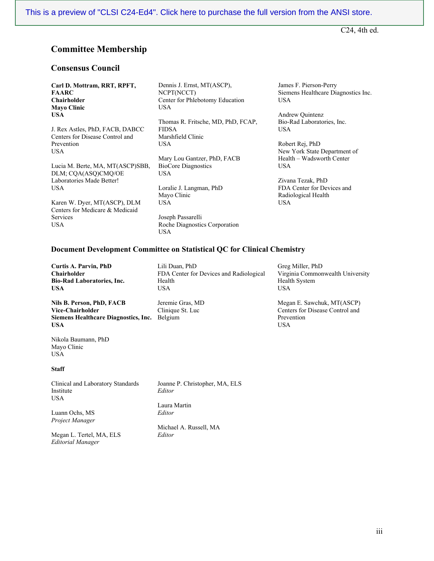## <span id="page-4-0"></span>**Committee Membership**

## **Consensus Council**

**Carl D. Mottram, RRT, RPFT, FAARC Chairholder Mayo Clinic USA**

J. Rex Astles, PhD, FACB, DABCC Centers for Disease Control and Prevention USA

Lucia M. Berte, MA, MT(ASCP)SBB, DLM; CQA(ASQ)CMQ/OE Laboratories Made Better! USA

Karen W. Dyer, MT(ASCP), DLM Centers for Medicare & Medicaid Services USA

Dennis J. Ernst, MT(ASCP), NCPT(NCCT) Center for Phlebotomy Education USA

Thomas R. Fritsche, MD, PhD, FCAP, FIDSA Marshfield Clinic USA

Mary Lou Gantzer, PhD, FACB BioCore Diagnostics USA

Loralie J. Langman, PhD Mayo Clinic USA

Joseph Passarelli Roche Diagnostics Corporation USA

FDA Center for Devices and Radiological

James F. Pierson-Perry Siemens Healthcare Diagnostics Inc. USA

Andrew Quintenz Bio-Rad Laboratories, Inc. USA

Robert Rej, PhD New York State Department of Health – Wadsworth Center USA

Zivana Tezak, PhD FDA Center for Devices and Radiological Health USA

#### **Document Development Committee on Statistical QC for Clinical Chemistry**

Lili Duan, PhD

Health USA

**Curtis A. Parvin, PhD Chairholder Bio-Rad Laboratories, Inc. USA**

**Nils B. Person, PhD, FACB Vice-Chairholder Siemens Healthcare Diagnostics, Inc.** Belgium **USA**

Nikola Baumann, PhD Mayo Clinic USA

#### **Staff**

Clinical and Laboratory Standards Institute USA

Luann Ochs, MS *Project Manager*

Megan L. Tertel, MA, ELS *Editorial Manager*

Jeremie Gras, MD Clinique St. Luc

Greg Miller, PhD Virginia Commonwealth University Health System USA

Megan E. Sawchuk, MT(ASCP) Centers for Disease Control and Prevention USA

Joanne P. Christopher, MA, ELS *Editor*

Laura Martin *Editor*

Michael A. Russell, MA *Editor*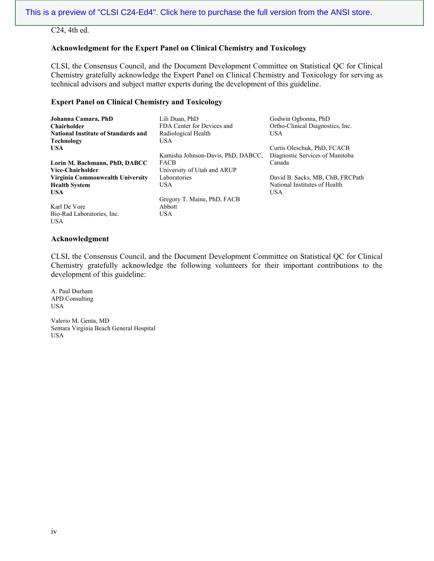#### **Acknowledgment for the Expert Panel on Clinical Chemistry and Toxicology**

CLSI, the Consensus Council, and the Document Development Committee on Statistical QC for Clinical Chemistry gratefully acknowledge the Expert Panel on Clinical Chemistry and Toxicology for serving as technical advisors and subject matter experts during the development of this guideline.

#### **Expert Panel on Clinical Chemistry and Toxicology**

| Johanna Camara, PhD<br><b>Chairholder</b>  | Lili Duan, PhD<br>FDA Center for Devices and | Godwin Ogbonna, PhD<br>Ortho-Clinical Diagnostics, Inc. |
|--------------------------------------------|----------------------------------------------|---------------------------------------------------------|
| <b>National Institute of Standards and</b> | Radiological Health                          | <b>USA</b>                                              |
| <b>Technology</b>                          | USA.                                         |                                                         |
| <b>USA</b>                                 |                                              | Curtis Oleschuk, PhD, FCACB                             |
|                                            | Kamisha Johnson-Davis, PhD, DABCC,           | Diagnostic Services of Manitoba                         |
| Lorin M. Bachmann, PhD, DABCC              | <b>FACB</b>                                  | Canada                                                  |
| Vice-Chairholder                           | University of Utah and ARUP                  |                                                         |
| Virginia Commonwealth University           | Laboratories                                 | David B. Sacks, MB, ChB, FRCPath                        |
| <b>Health System</b>                       | <b>USA</b>                                   | National Institutes of Health                           |
| <b>USA</b>                                 |                                              | <b>USA</b>                                              |
|                                            | Gregory T. Maine, PhD, FACB                  |                                                         |
| Karl De Vore                               | Abbott                                       |                                                         |
| Bio-Rad Laboratories, Inc.<br><b>USA</b>   | USA                                          |                                                         |

#### **Acknowledgment**

CLSI, the Consensus Council, and the Document Development Committee on Statistical QC for Clinical Chemistry gratefully acknowledge the following volunteers for their important contributions to the development of this guideline:

A. Paul Durham APD Consulting USA

Valerio M. Genta, MD Sentara Virginia Beach General Hospital USA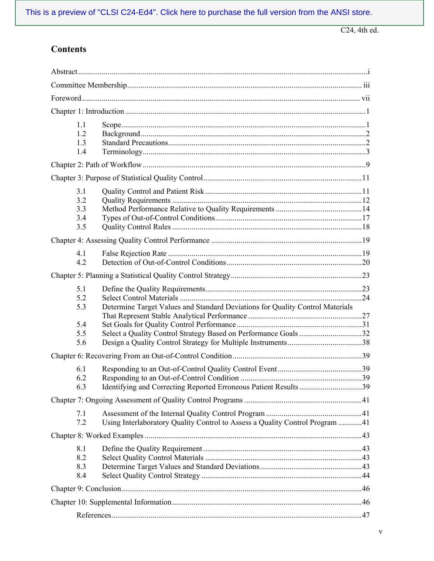# **Contents**

| 1.1<br>1.2<br>1.3<br>1.4        |                                                                                                                                                 |  |
|---------------------------------|-------------------------------------------------------------------------------------------------------------------------------------------------|--|
|                                 |                                                                                                                                                 |  |
|                                 |                                                                                                                                                 |  |
| 3.1<br>3.2<br>3.3<br>3.4<br>3.5 |                                                                                                                                                 |  |
|                                 |                                                                                                                                                 |  |
| 4.1<br>4.2                      |                                                                                                                                                 |  |
|                                 |                                                                                                                                                 |  |
| 5.1<br>5.2<br>5.3<br>5.4<br>5.5 | Determine Target Values and Standard Deviations for Quality Control Materials<br>Select a Quality Control Strategy Based on Performance Goals32 |  |
| 5.6                             |                                                                                                                                                 |  |
|                                 |                                                                                                                                                 |  |
| 6.1<br>6.2<br>6.3               | Identifying and Correcting Reported Erroneous Patient Results 39                                                                                |  |
|                                 |                                                                                                                                                 |  |
| 7.1<br>7.2                      | Using Interlaboratory Quality Control to Assess a Quality Control Program 41                                                                    |  |
|                                 |                                                                                                                                                 |  |
| 8.1<br>8.2<br>8.3<br>8.4        |                                                                                                                                                 |  |
|                                 |                                                                                                                                                 |  |
|                                 |                                                                                                                                                 |  |
|                                 |                                                                                                                                                 |  |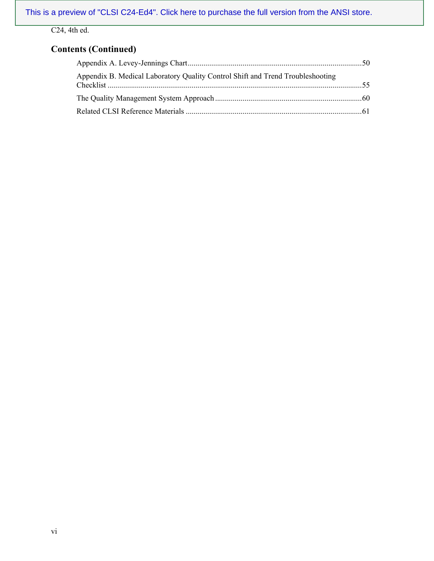# **Contents (Continued)**

| Appendix B. Medical Laboratory Quality Control Shift and Trend Troubleshooting |  |
|--------------------------------------------------------------------------------|--|
|                                                                                |  |
|                                                                                |  |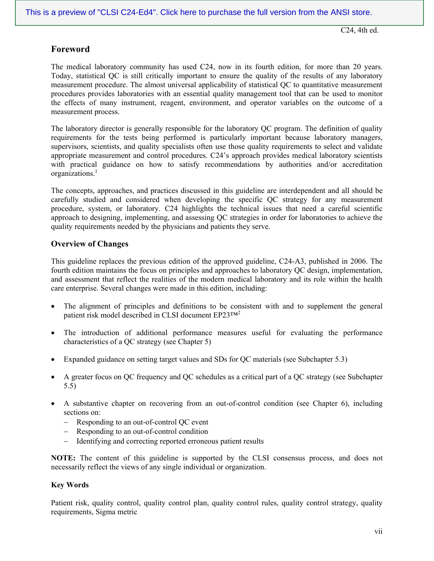## <span id="page-8-0"></span>**Foreword**

The medical laboratory community has used C24, now in its fourth edition, for more than 20 years. Today, statistical QC is still critically important to ensure the quality of the results of any laboratory measurement procedure. The almost universal applicability of statistical QC to quantitative measurement procedures provides laboratories with an essential quality management tool that can be used to monitor the effects of many instrument, reagent, environment, and operator variables on the outcome of a measurement process.

The laboratory director is generally responsible for the laboratory QC program. The definition of quality requirements for the tests being performed is particularly important because laboratory managers, supervisors, scientists, and quality specialists often use those quality requirements to select and validate appropriate measurement and control procedures. C24's approach provides medical laboratory scientists with practical guidance on how to satisfy recommendations by authorities and/or accreditation organizations.<sup>1</sup>

The concepts, approaches, and practices discussed in this guideline are interdependent and all should be carefully studied and considered when developing the specific QC strategy for any measurement procedure, system, or laboratory. C24 highlights the technical issues that need a careful scientific approach to designing, implementing, and assessing QC strategies in order for laboratories to achieve the quality requirements needed by the physicians and patients they serve.

#### **Overview of Changes**

This guideline replaces the previous edition of the approved guideline, C24-A3, published in 2006. The fourth edition maintains the focus on principles and approaches to laboratory QC design, implementation, and assessment that reflect the realities of the modern medical laboratory and its role within the health care enterprise. Several changes were made in this edition, including:

- The alignment of principles and definitions to be consistent with and to supplement the general patient risk model described in CLSI document EP23™<sup>2</sup>
- The introduction of additional performance measures useful for evaluating the performance characteristics of a QC strategy (see Chapter 5)
- Expanded guidance on setting target values and SDs for QC materials (see Subchapter 5.3)
- A greater focus on QC frequency and QC schedules as a critical part of a QC strategy (see Subchapter 5.5)
- A substantive chapter on recovering from an out-of-control condition (see Chapter 6), including sections on:
	- Responding to an out-of-control QC event
	- Responding to an out-of-control condition
	- Identifying and correcting reported erroneous patient results

**NOTE:** The content of this guideline is supported by the CLSI consensus process, and does not necessarily reflect the views of any single individual or organization.

#### **Key Words**

Patient risk, quality control, quality control plan, quality control rules, quality control strategy, quality requirements, Sigma metric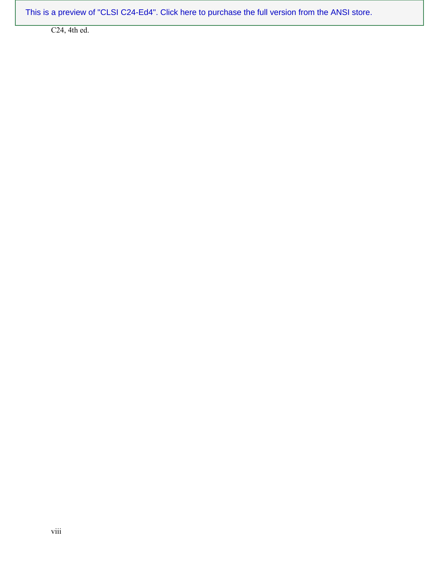[This is a preview of "CLSI C24-Ed4". Click here to purchase the full version from the ANSI store.](https://webstore.ansi.org/Standards/CLSI/CLSIC24Ed4?source=preview)

C24, 4th ed.